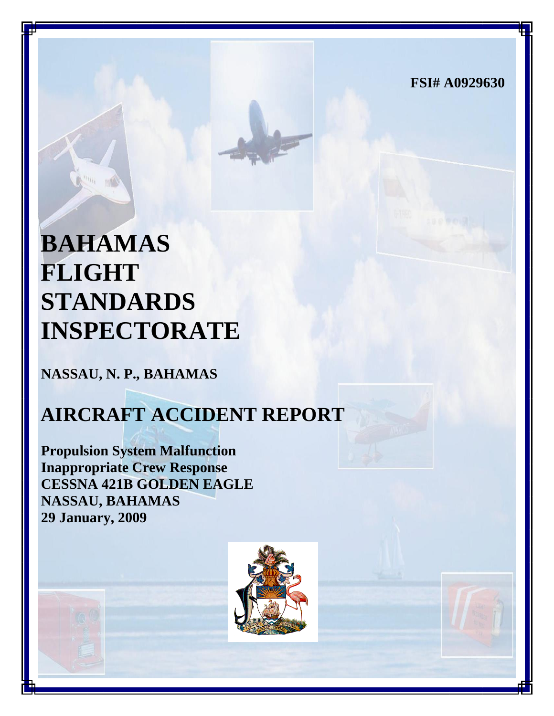**FSI# A0929630**

# **BAHAMAS FLIGHT STANDARDS INSPECTORATE**

**NASSAU, N. P., BAHAMAS**

# **AIRCRAFT ACCIDENT REPORT**

**Propulsion System Malfunction Inappropriate Crew Response CESSNA 421B GOLDEN EAGLE NASSAU, BAHAMAS 29 January, 2009**

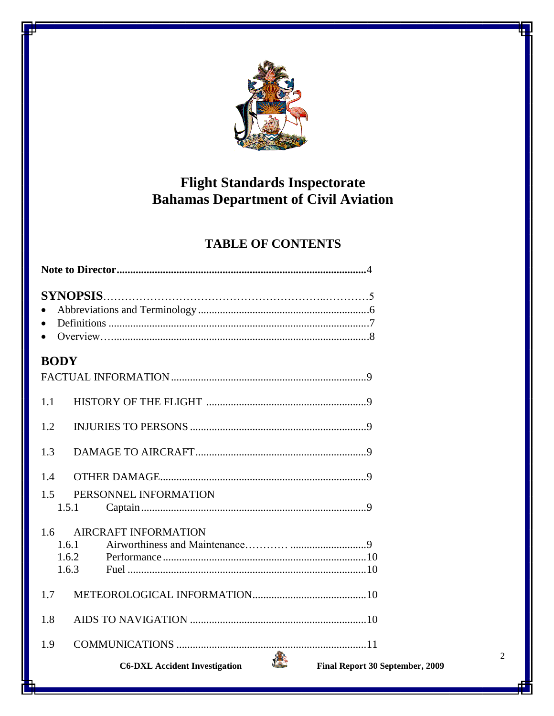

# Flight Standards Inspectorate<br>Bahamas Department of Civil Aviation

### **TABLE OF CONTENTS**

| <b>BODY</b>                          |                                 |  |  |
|--------------------------------------|---------------------------------|--|--|
|                                      |                                 |  |  |
| 1.1                                  |                                 |  |  |
| 1.2                                  |                                 |  |  |
| 1.3                                  |                                 |  |  |
| 1.4                                  |                                 |  |  |
| 1.5<br>PERSONNEL INFORMATION         |                                 |  |  |
| 1.5.1                                |                                 |  |  |
| <b>AIRCRAFT INFORMATION</b><br>1.6   |                                 |  |  |
| 1.6.1                                |                                 |  |  |
| 1.6.2                                |                                 |  |  |
| 1.6.3                                |                                 |  |  |
| 1.7                                  |                                 |  |  |
| 1.8                                  |                                 |  |  |
| 1.9                                  |                                 |  |  |
| <b>C6-DXL Accident Investigation</b> | Final Report 30 September, 2009 |  |  |

 $\overline{2}$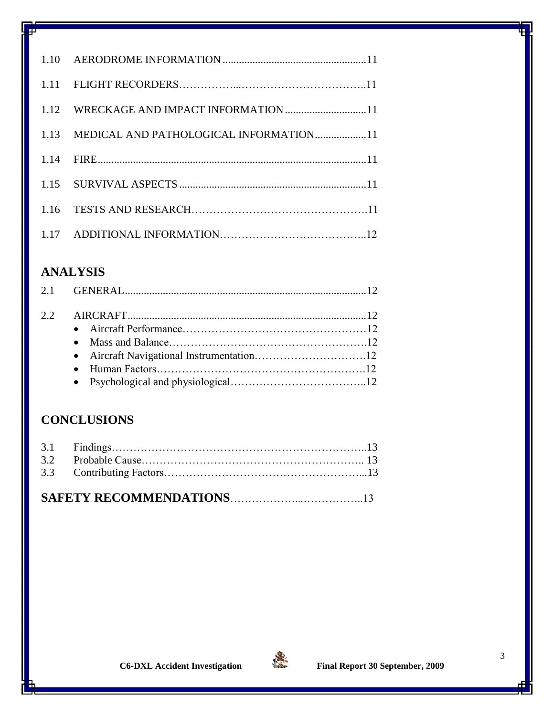| 1.12 WRECKAGE AND IMPACT INFORMATION 11     |  |
|---------------------------------------------|--|
| 1.13 MEDICAL AND PATHOLOGICAL INFORMATION11 |  |
|                                             |  |
|                                             |  |
|                                             |  |
|                                             |  |

# **ANALYSIS**

## **CONCLUSIONS**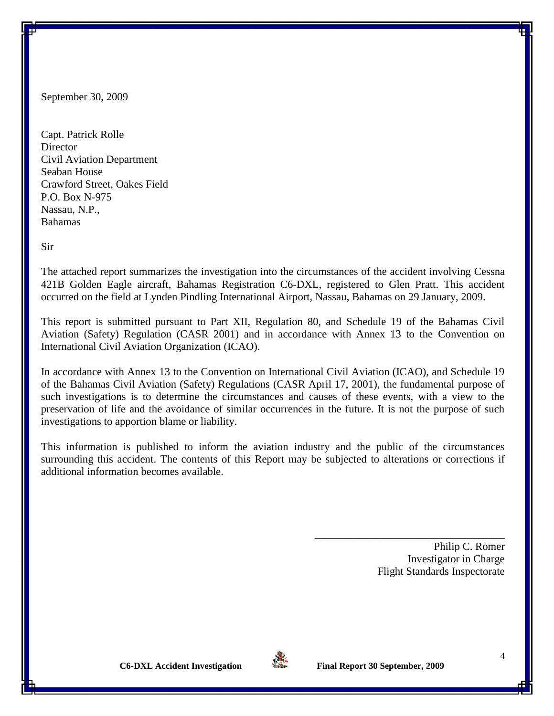September 30, 2009

Capt. Patrick Rolle **Director** Civil Aviation Department Seaban House Crawford Street, Oakes Field P.O. Box N-975 Nassau, N.P., Bahamas

Sir

The attached report summarizes the investigation into the circumstances of the accident involving Cessna 421B Golden Eagle aircraft, Bahamas Registration C6-DXL, registered to Glen Pratt. This accident occurred on the field at Lynden Pindling International Airport, Nassau, Bahamas on 29 January, 2009.

This report is submitted pursuant to Part XII, Regulation 80, and Schedule 19 of the Bahamas Civil Aviation (Safety) Regulation (CASR 2001) and in accordance with Annex 13 to the Convention on International Civil Aviation Organization (ICAO).

In accordance with Annex 13 to the Convention on International Civil Aviation (ICAO), and Schedule 19 of the Bahamas Civil Aviation (Safety) Regulations (CASR April 17, 2001), the fundamental purpose of such investigations is to determine the circumstances and causes of these events, with a view to the preservation of life and the avoidance of similar occurrences in the future. It is not the purpose of such investigations to apportion blame or liability.

This information is published to inform the aviation industry and the public of the circumstances surrounding this accident. The contents of this Report may be subjected to alterations or corrections if additional information becomes available.

> Philip C. Romer Investigator in Charge Flight Standards Inspectorate

\_\_\_\_\_\_\_\_\_\_\_\_\_\_\_\_\_\_\_\_\_\_\_\_\_\_\_\_\_\_\_\_\_\_\_

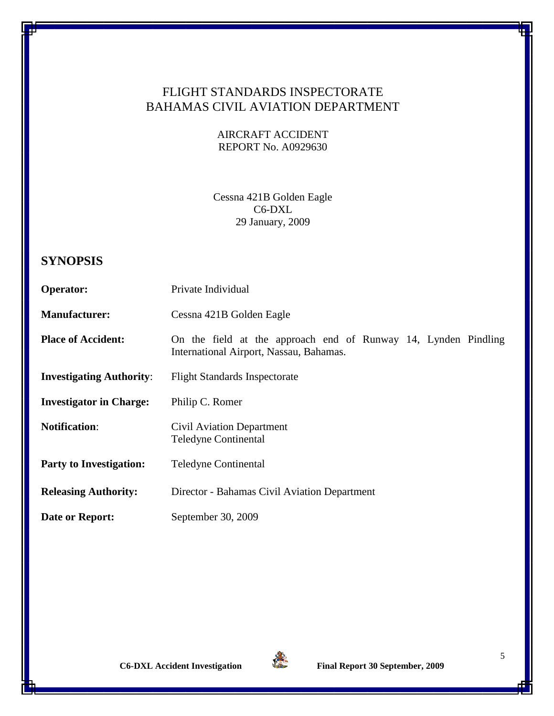#### FLIGHT STANDARDS INSPECTORATE BAHAMAS CIVIL AVIATION DEPARTMENT

AIRCRAFT ACCIDENT REPORT No. A0929630

Cessna 421B Golden Eagle C6-DXL 29 January, 2009

#### **SYNOPSIS**

| <b>Operator:</b>                | Private Individual                                                                                        |  |
|---------------------------------|-----------------------------------------------------------------------------------------------------------|--|
| <b>Manufacturer:</b>            | Cessna 421B Golden Eagle                                                                                  |  |
| <b>Place of Accident:</b>       | On the field at the approach end of Runway 14, Lynden Pindling<br>International Airport, Nassau, Bahamas. |  |
| <b>Investigating Authority:</b> | <b>Flight Standards Inspectorate</b>                                                                      |  |
| <b>Investigator in Charge:</b>  | Philip C. Romer                                                                                           |  |
| <b>Notification:</b>            | <b>Civil Aviation Department</b><br><b>Teledyne Continental</b>                                           |  |
| <b>Party to Investigation:</b>  | <b>Teledyne Continental</b>                                                                               |  |
| <b>Releasing Authority:</b>     | Director - Bahamas Civil Aviation Department                                                              |  |
| Date or Report:                 | September 30, 2009                                                                                        |  |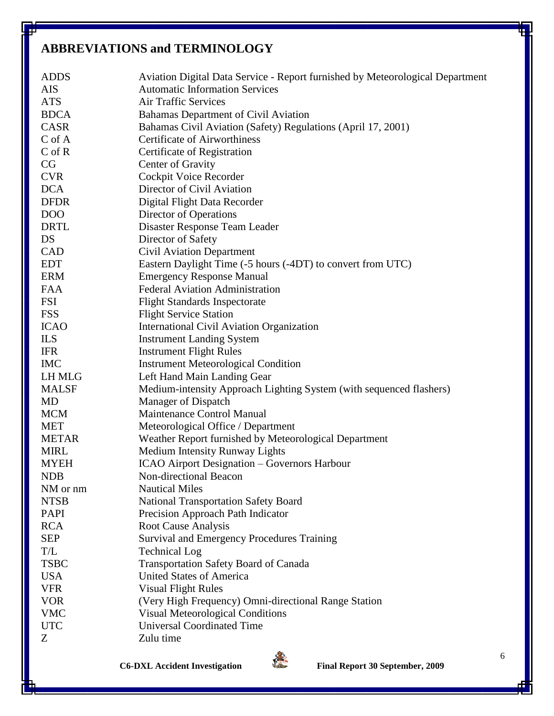# **ABBREVIATIONS and TERMINOLOGY**

| <b>ADDS</b>   | Aviation Digital Data Service - Report furnished by Meteorological Department |
|---------------|-------------------------------------------------------------------------------|
| <b>AIS</b>    | <b>Automatic Information Services</b>                                         |
| <b>ATS</b>    | <b>Air Traffic Services</b>                                                   |
| <b>BDCA</b>   | Bahamas Department of Civil Aviation                                          |
| <b>CASR</b>   | Bahamas Civil Aviation (Safety) Regulations (April 17, 2001)                  |
| $C \circ f A$ | <b>Certificate of Airworthiness</b>                                           |
| $C$ of $R$    | Certificate of Registration                                                   |
| CG            | Center of Gravity                                                             |
| <b>CVR</b>    | Cockpit Voice Recorder                                                        |
| <b>DCA</b>    | Director of Civil Aviation                                                    |
| <b>DFDR</b>   | Digital Flight Data Recorder                                                  |
| <b>DOO</b>    | Director of Operations                                                        |
| <b>DRTL</b>   | Disaster Response Team Leader                                                 |
| DS            | Director of Safety                                                            |
| CAD           | <b>Civil Aviation Department</b>                                              |
| <b>EDT</b>    | Eastern Daylight Time (-5 hours (-4DT) to convert from UTC)                   |
| <b>ERM</b>    | <b>Emergency Response Manual</b>                                              |
| <b>FAA</b>    | <b>Federal Aviation Administration</b>                                        |
| <b>FSI</b>    | <b>Flight Standards Inspectorate</b>                                          |
| <b>FSS</b>    | <b>Flight Service Station</b>                                                 |
| <b>ICAO</b>   | <b>International Civil Aviation Organization</b>                              |
| ILS           | <b>Instrument Landing System</b>                                              |
| <b>IFR</b>    | <b>Instrument Flight Rules</b>                                                |
| <b>IMC</b>    | <b>Instrument Meteorological Condition</b>                                    |
| <b>LH MLG</b> | Left Hand Main Landing Gear                                                   |
| <b>MALSF</b>  | Medium-intensity Approach Lighting System (with sequenced flashers)           |
| MD            | Manager of Dispatch                                                           |
| <b>MCM</b>    | Maintenance Control Manual                                                    |
| <b>MET</b>    | Meteorological Office / Department                                            |
| <b>METAR</b>  | Weather Report furnished by Meteorological Department                         |
| <b>MIRL</b>   | Medium Intensity Runway Lights                                                |
| <b>MYEH</b>   | <b>ICAO Airport Designation – Governors Harbour</b>                           |
| <b>NDB</b>    | Non-directional Beacon                                                        |
| NM or nm      | <b>Nautical Miles</b>                                                         |
| <b>NTSB</b>   | <b>National Transportation Safety Board</b>                                   |
| <b>PAPI</b>   | Precision Approach Path Indicator                                             |
| <b>RCA</b>    | <b>Root Cause Analysis</b>                                                    |
| <b>SEP</b>    | <b>Survival and Emergency Procedures Training</b>                             |
| T/L           | <b>Technical Log</b>                                                          |
| <b>TSBC</b>   | Transportation Safety Board of Canada                                         |
| <b>USA</b>    | <b>United States of America</b>                                               |
| <b>VFR</b>    | <b>Visual Flight Rules</b>                                                    |
| <b>VOR</b>    | (Very High Frequency) Omni-directional Range Station                          |
| <b>VMC</b>    | <b>Visual Meteorological Conditions</b>                                       |
| <b>UTC</b>    | <b>Universal Coordinated Time</b>                                             |
| Z             | Zulu time                                                                     |



**C6-DXL Accident Investigation Final Report 30 September, 2009**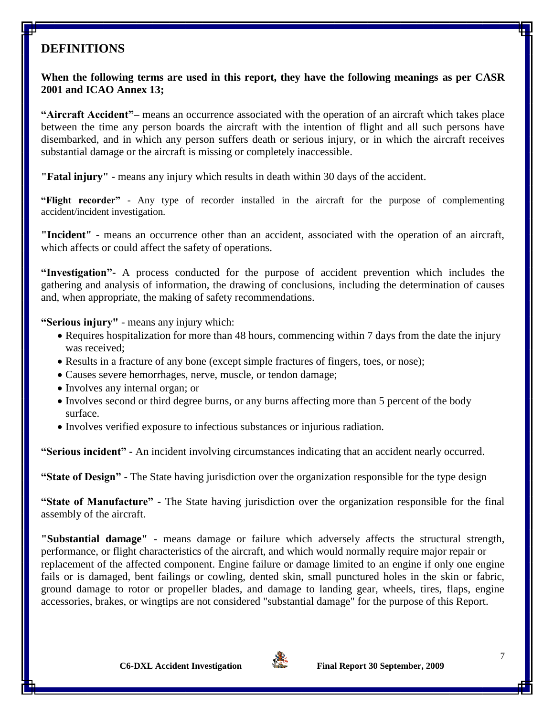#### **DEFINITIONS**

#### **When the following terms are used in this report, they have the following meanings as per CASR 2001 and ICAO Annex 13;**

**"Aircraft Accident"–** means an occurrence associated with the operation of an aircraft which takes place between the time any person boards the aircraft with the intention of flight and all such persons have disembarked, and in which any person suffers death or serious injury, or in which the aircraft receives substantial damage or the aircraft is missing or completely inaccessible.

**"Fatal injury"** - means any injury which results in death within 30 days of the accident.

**"Flight recorder"** - Any type of recorder installed in the aircraft for the purpose of complementing accident/incident investigation.

**"Incident"** - means an occurrence other than an accident, associated with the operation of an aircraft, which affects or could affect the safety of operations.

**"Investigation"-** A process conducted for the purpose of accident prevention which includes the gathering and analysis of information, the drawing of conclusions, including the determination of causes and, when appropriate, the making of safety recommendations.

**"Serious injury"** - means any injury which:

- Requires hospitalization for more than 48 hours, commencing within 7 days from the date the injury was received;
- Results in a fracture of any bone (except simple fractures of fingers, toes, or nose);
- Causes severe hemorrhages, nerve, muscle, or tendon damage;
- Involves any internal organ; or
- Involves second or third degree burns, or any burns affecting more than 5 percent of the body surface.
- Involves verified exposure to infectious substances or injurious radiation.

**"Serious incident" -** An incident involving circumstances indicating that an accident nearly occurred.

**"State of Design"** - The State having jurisdiction over the organization responsible for the type design

**"State of Manufacture"** - The State having jurisdiction over the organization responsible for the final assembly of the aircraft.

**"Substantial damage"** - means damage or failure which adversely affects the structural strength, performance, or flight characteristics of the aircraft, and which would normally require major repair or replacement of the affected component. Engine failure or damage limited to an engine if only one engine fails or is damaged, bent failings or cowling, dented skin, small punctured holes in the skin or fabric, ground damage to rotor or propeller blades, and damage to landing gear, wheels, tires, flaps, engine accessories, brakes, or wingtips are not considered "substantial damage" for the purpose of this Report.

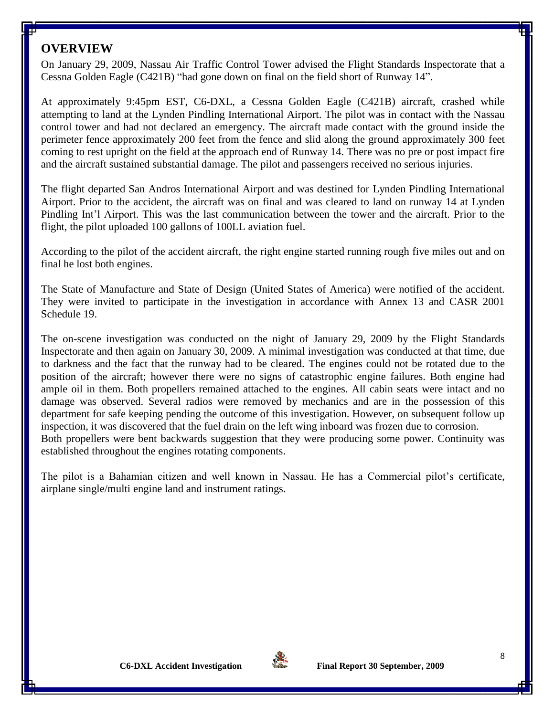#### **OVERVIEW**

On January 29, 2009, Nassau Air Traffic Control Tower advised the Flight Standards Inspectorate that a Cessna Golden Eagle (C421B) "had gone down on final on the field short of Runway 14".

At approximately 9:45pm EST, C6-DXL, a Cessna Golden Eagle (C421B) aircraft, crashed while attempting to land at the Lynden Pindling International Airport. The pilot was in contact with the Nassau control tower and had not declared an emergency. The aircraft made contact with the ground inside the perimeter fence approximately 200 feet from the fence and slid along the ground approximately 300 feet coming to rest upright on the field at the approach end of Runway 14. There was no pre or post impact fire and the aircraft sustained substantial damage. The pilot and passengers received no serious injuries.

The flight departed San Andros International Airport and was destined for Lynden Pindling International Airport. Prior to the accident, the aircraft was on final and was cleared to land on runway 14 at Lynden Pindling Int'l Airport. This was the last communication between the tower and the aircraft. Prior to the flight, the pilot uploaded 100 gallons of 100LL aviation fuel.

According to the pilot of the accident aircraft, the right engine started running rough five miles out and on final he lost both engines.

The State of Manufacture and State of Design (United States of America) were notified of the accident. They were invited to participate in the investigation in accordance with Annex 13 and CASR 2001 Schedule 19.

The on-scene investigation was conducted on the night of January 29, 2009 by the Flight Standards Inspectorate and then again on January 30, 2009. A minimal investigation was conducted at that time, due to darkness and the fact that the runway had to be cleared. The engines could not be rotated due to the position of the aircraft; however there were no signs of catastrophic engine failures. Both engine had ample oil in them. Both propellers remained attached to the engines. All cabin seats were intact and no damage was observed. Several radios were removed by mechanics and are in the possession of this department for safe keeping pending the outcome of this investigation. However, on subsequent follow up inspection, it was discovered that the fuel drain on the left wing inboard was frozen due to corrosion. Both propellers were bent backwards suggestion that they were producing some power. Continuity was established throughout the engines rotating components.

The pilot is a Bahamian citizen and well known in Nassau. He has a Commercial pilot's certificate, airplane single/multi engine land and instrument ratings.

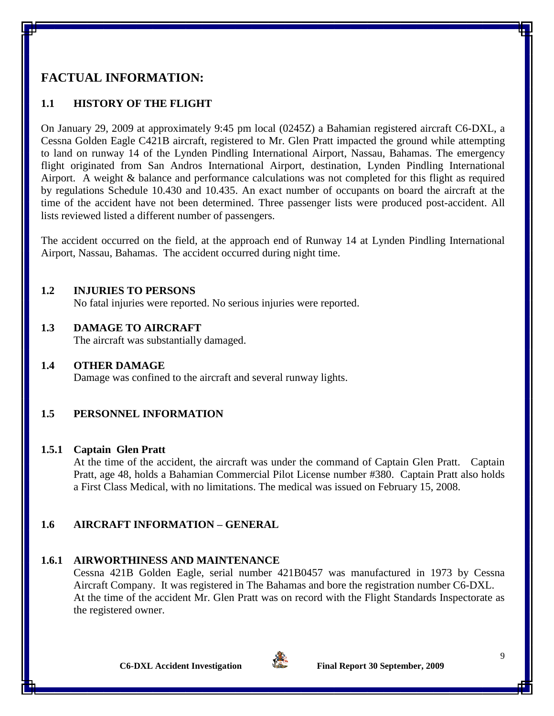#### **FACTUAL INFORMATION:**

#### **1.1 HISTORY OF THE FLIGHT**

On January 29, 2009 at approximately 9:45 pm local (0245Z) a Bahamian registered aircraft C6-DXL, a Cessna Golden Eagle C421B aircraft, registered to Mr. Glen Pratt impacted the ground while attempting to land on runway 14 of the Lynden Pindling International Airport, Nassau, Bahamas. The emergency flight originated from San Andros International Airport, destination, Lynden Pindling International Airport. A weight & balance and performance calculations was not completed for this flight as required by regulations Schedule 10.430 and 10.435. An exact number of occupants on board the aircraft at the time of the accident have not been determined. Three passenger lists were produced post-accident. All lists reviewed listed a different number of passengers.

The accident occurred on the field, at the approach end of Runway 14 at Lynden Pindling International Airport, Nassau, Bahamas. The accident occurred during night time.

#### **1.2 INJURIES TO PERSONS**

No fatal injuries were reported. No serious injuries were reported.

#### **1.3 DAMAGE TO AIRCRAFT**

The aircraft was substantially damaged.

#### **1.4 OTHER DAMAGE**

Damage was confined to the aircraft and several runway lights.

#### **1.5 PERSONNEL INFORMATION**

#### **1.5.1 Captain Glen Pratt**

At the time of the accident, the aircraft was under the command of Captain Glen Pratt. Captain Pratt, age 48, holds a Bahamian Commercial Pilot License number #380. Captain Pratt also holds a First Class Medical, with no limitations. The medical was issued on February 15, 2008.

#### **1.6 AIRCRAFT INFORMATION – GENERAL**

#### **1.6.1 AIRWORTHINESS AND MAINTENANCE**

Cessna 421B Golden Eagle, serial number 421B0457 was manufactured in 1973 by Cessna Aircraft Company. It was registered in The Bahamas and bore the registration number C6-DXL. At the time of the accident Mr. Glen Pratt was on record with the Flight Standards Inspectorate as the registered owner.

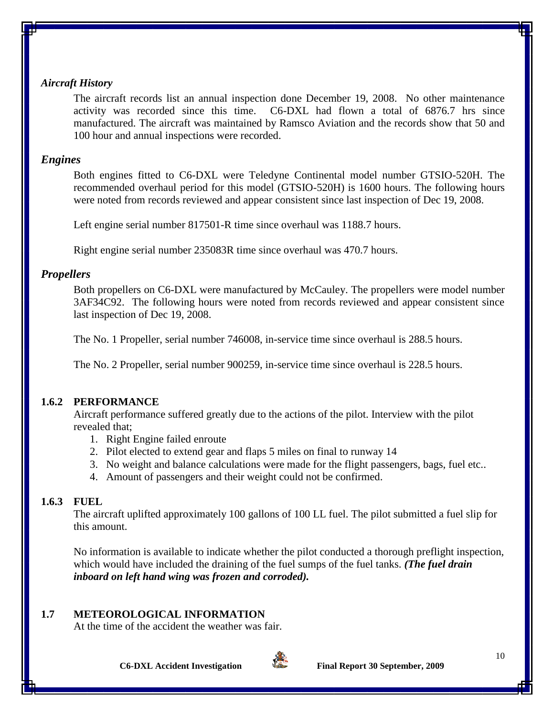#### *Aircraft History*

The aircraft records list an annual inspection done December 19, 2008. No other maintenance activity was recorded since this time. C6-DXL had flown a total of 6876.7 hrs since manufactured. The aircraft was maintained by Ramsco Aviation and the records show that 50 and 100 hour and annual inspections were recorded.

#### *Engines*

Both engines fitted to C6-DXL were Teledyne Continental model number GTSIO-520H. The recommended overhaul period for this model (GTSIO-520H) is 1600 hours. The following hours were noted from records reviewed and appear consistent since last inspection of Dec 19, 2008.

Left engine serial number 817501-R time since overhaul was 1188.7 hours.

Right engine serial number 235083R time since overhaul was 470.7 hours.

#### *Propellers*

Both propellers on C6-DXL were manufactured by McCauley. The propellers were model number 3AF34C92. The following hours were noted from records reviewed and appear consistent since last inspection of Dec 19, 2008.

The No. 1 Propeller, serial number 746008, in-service time since overhaul is 288.5 hours.

The No. 2 Propeller, serial number 900259, in-service time since overhaul is 228.5 hours.

#### **1.6.2 PERFORMANCE**

Aircraft performance suffered greatly due to the actions of the pilot. Interview with the pilot revealed that;

- 1. Right Engine failed enroute
- 2. Pilot elected to extend gear and flaps 5 miles on final to runway 14
- 3. No weight and balance calculations were made for the flight passengers, bags, fuel etc..
- 4. Amount of passengers and their weight could not be confirmed.

#### **1.6.3 FUEL**

The aircraft uplifted approximately 100 gallons of 100 LL fuel. The pilot submitted a fuel slip for this amount.

No information is available to indicate whether the pilot conducted a thorough preflight inspection, which would have included the draining of the fuel sumps of the fuel tanks. *(The fuel drain inboard on left hand wing was frozen and corroded).*

#### **1.7 METEOROLOGICAL INFORMATION**

At the time of the accident the weather was fair.

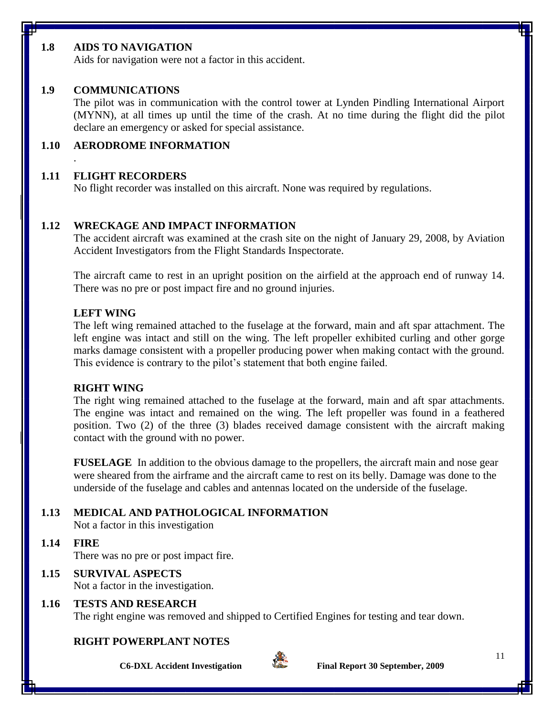#### **1.8 AIDS TO NAVIGATION**

Aids for navigation were not a factor in this accident.

#### **1.9 COMMUNICATIONS**

The pilot was in communication with the control tower at Lynden Pindling International Airport (MYNN), at all times up until the time of the crash. At no time during the flight did the pilot declare an emergency or asked for special assistance.

#### **1.10 AERODROME INFORMATION**

#### **1.11 FLIGHT RECORDERS**

.

No flight recorder was installed on this aircraft. None was required by regulations.

#### **1.12 WRECKAGE AND IMPACT INFORMATION**

The accident aircraft was examined at the crash site on the night of January 29, 2008, by Aviation Accident Investigators from the Flight Standards Inspectorate.

The aircraft came to rest in an upright position on the airfield at the approach end of runway 14. There was no pre or post impact fire and no ground injuries.

#### **LEFT WING**

The left wing remained attached to the fuselage at the forward, main and aft spar attachment. The left engine was intact and still on the wing. The left propeller exhibited curling and other gorge marks damage consistent with a propeller producing power when making contact with the ground. This evidence is contrary to the pilot's statement that both engine failed.

#### **RIGHT WING**

The right wing remained attached to the fuselage at the forward, main and aft spar attachments. The engine was intact and remained on the wing. The left propeller was found in a feathered position. Two (2) of the three (3) blades received damage consistent with the aircraft making contact with the ground with no power.

**FUSELAGE** In addition to the obvious damage to the propellers, the aircraft main and nose gear were sheared from the airframe and the aircraft came to rest on its belly. Damage was done to the underside of the fuselage and cables and antennas located on the underside of the fuselage.

#### **1.13 MEDICAL AND PATHOLOGICAL INFORMATION**

Not a factor in this investigation

**1.14 FIRE**

There was no pre or post impact fire.

#### **1.15 SURVIVAL ASPECTS**

Not a factor in the investigation.

#### **1.16 TESTS AND RESEARCH**

The right engine was removed and shipped to Certified Engines for testing and tear down.

#### **RIGHT POWERPLANT NOTES**





**C6-DXL Accident Investigation Final Report 30 September, 2009**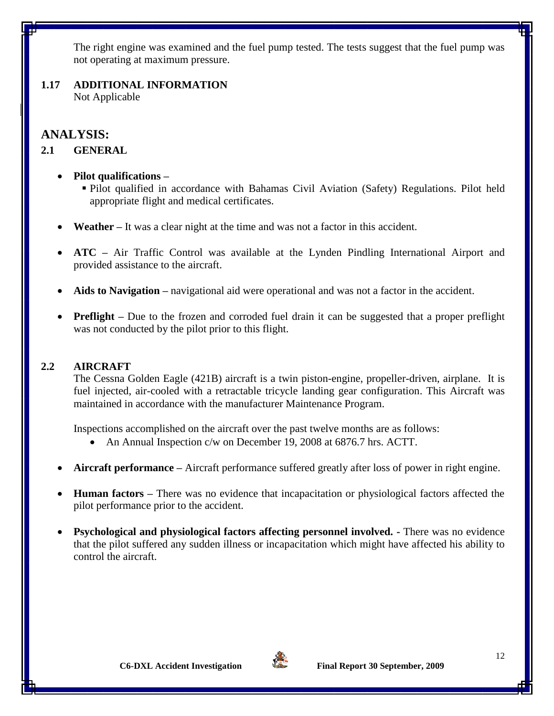The right engine was examined and the fuel pump tested. The tests suggest that the fuel pump was not operating at maximum pressure.

**1.17 ADDITIONAL INFORMATION** Not Applicable

**ANALYSIS:**

#### **2.1 GENERAL**

- **Pilot qualifications –**
	- Pilot qualified in accordance with Bahamas Civil Aviation (Safety) Regulations. Pilot held appropriate flight and medical certificates.
- **Weather –** It was a clear night at the time and was not a factor in this accident.
- **ATC –** Air Traffic Control was available at the Lynden Pindling International Airport and provided assistance to the aircraft.
- **Aids to Navigation –** navigational aid were operational and was not a factor in the accident.
- **Preflight** Due to the frozen and corroded fuel drain it can be suggested that a proper preflight was not conducted by the pilot prior to this flight.

#### **2.2 AIRCRAFT**

The Cessna Golden Eagle (421B) aircraft is a twin piston-engine, propeller-driven, airplane. It is fuel injected, air-cooled with a retractable tricycle landing gear configuration. This Aircraft was maintained in accordance with the manufacturer Maintenance Program.

Inspections accomplished on the aircraft over the past twelve months are as follows:

- An Annual Inspection c/w on December 19, 2008 at 6876.7 hrs. ACTT.
- **Aircraft performance –** Aircraft performance suffered greatly after loss of power in right engine.
- **Human factors –** There was no evidence that incapacitation or physiological factors affected the pilot performance prior to the accident.
- **Psychological and physiological factors affecting personnel involved. -** There was no evidence that the pilot suffered any sudden illness or incapacitation which might have affected his ability to control the aircraft.